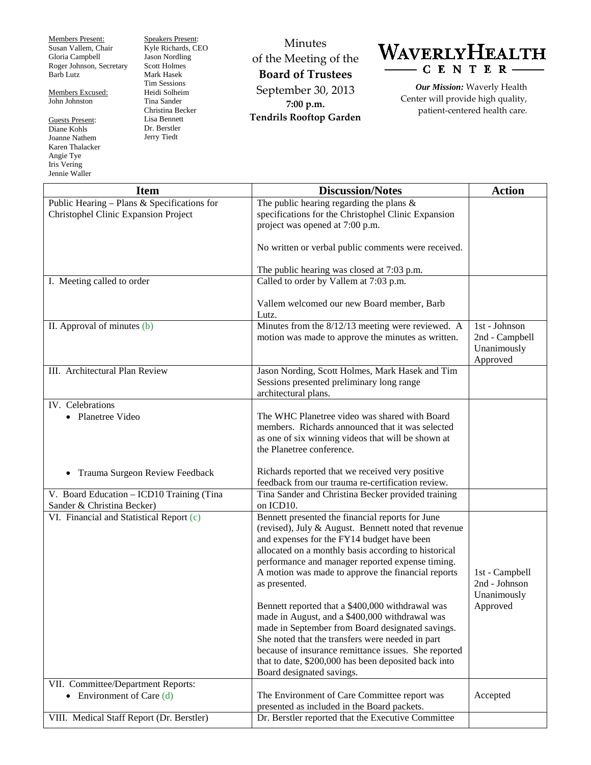Members Present: Susan Vallem, Chair Gloria Campbell Roger Johnson, Secretary Barb Lutz

Members Excused: John Johnston

Guests Present: Diane Kohls Joanne Nathem Karen Thalacker Angie Tye Iris Vering Jennie Waller

Speakers Present: Kyle Richards, CEO Jason Nordling Scott Holmes Mark Hasek Tim Sessions Heidi Solheim Tina Sander Christina Becker Lisa Bennett Dr. Berstler Jerry Tiedt

Minutes of the Meeting of the **Board of Trustees** September 30, 2013 **7:00 p.m. Tendrils Rooftop Garden**



*Our Mission:* Waverly Health Center will provide high quality, patient-centered health care.

| <b>Item</b>                                 | <b>Discussion/Notes</b>                              | <b>Action</b>           |
|---------------------------------------------|------------------------------------------------------|-------------------------|
| Public Hearing - Plans & Specifications for | The public hearing regarding the plans $\&$          |                         |
| Christophel Clinic Expansion Project        | specifications for the Christophel Clinic Expansion  |                         |
|                                             | project was opened at 7:00 p.m.                      |                         |
|                                             | No written or verbal public comments were received.  |                         |
|                                             | The public hearing was closed at 7:03 p.m.           |                         |
| I. Meeting called to order                  | Called to order by Vallem at 7:03 p.m.               |                         |
|                                             | Vallem welcomed our new Board member, Barb<br>Lutz.  |                         |
| II. Approval of minutes (b)                 | Minutes from the 8/12/13 meeting were reviewed. A    | 1st - Johnson           |
|                                             | motion was made to approve the minutes as written.   | 2nd - Campbell          |
|                                             |                                                      | Unanimously<br>Approved |
| III. Architectural Plan Review              | Jason Nording, Scott Holmes, Mark Hasek and Tim      |                         |
|                                             | Sessions presented preliminary long range            |                         |
|                                             | architectural plans.                                 |                         |
| IV. Celebrations                            |                                                      |                         |
| • Planetree Video                           | The WHC Planetree video was shared with Board        |                         |
|                                             | members. Richards announced that it was selected     |                         |
|                                             | as one of six winning videos that will be shown at   |                         |
|                                             | the Planetree conference.                            |                         |
|                                             | Richards reported that we received very positive     |                         |
| Trauma Surgeon Review Feedback<br>$\bullet$ | feedback from our trauma re-certification review.    |                         |
| V. Board Education - ICD10 Training (Tina   | Tina Sander and Christina Becker provided training   |                         |
| Sander & Christina Becker)                  | on ICD10.                                            |                         |
| VI. Financial and Statistical Report (c)    | Bennett presented the financial reports for June     |                         |
|                                             | (revised), July & August. Bennett noted that revenue |                         |
|                                             | and expenses for the FY14 budget have been           |                         |
|                                             | allocated on a monthly basis according to historical |                         |
|                                             | performance and manager reported expense timing.     |                         |
|                                             | A motion was made to approve the financial reports   | 1st - Campbell          |
|                                             | as presented.                                        | 2nd - Johnson           |
|                                             | Bennett reported that a \$400,000 withdrawal was     | Unanimously<br>Approved |
|                                             | made in August, and a \$400,000 withdrawal was       |                         |
|                                             | made in September from Board designated savings.     |                         |
|                                             | She noted that the transfers were needed in part     |                         |
|                                             | because of insurance remittance issues. She reported |                         |
|                                             | that to date, \$200,000 has been deposited back into |                         |
|                                             | Board designated savings.                            |                         |
| VII. Committee/Department Reports:          |                                                      |                         |
| • Environment of Care $(d)$                 | The Environment of Care Committee report was         | Accepted                |
|                                             | presented as included in the Board packets.          |                         |
| VIII. Medical Staff Report (Dr. Berstler)   | Dr. Berstler reported that the Executive Committee   |                         |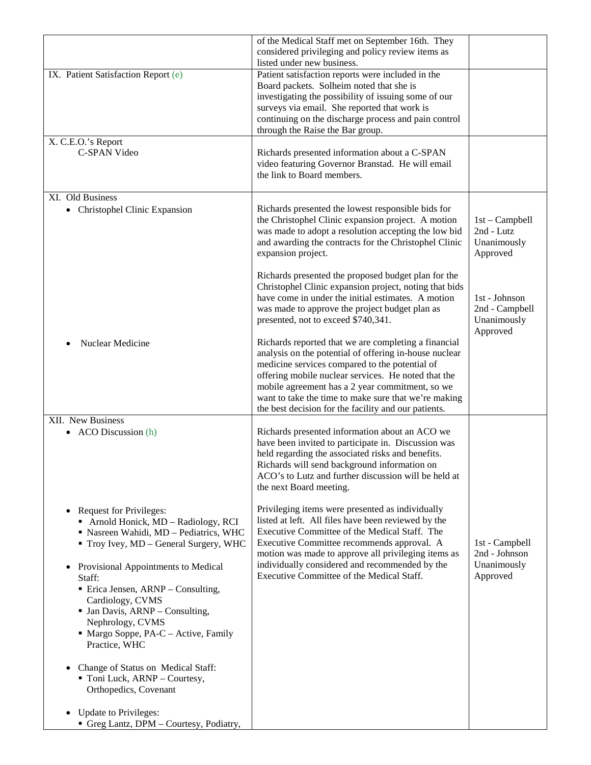|                                                                                                                                                                                                                                                                                                                                                                                                                                                                                                                                                                        | of the Medical Staff met on September 16th. They<br>considered privileging and policy review items as<br>listed under new business.                                                                                                                                                                                                                                                                                                                                                                                                                                     |                                                                                                                         |
|------------------------------------------------------------------------------------------------------------------------------------------------------------------------------------------------------------------------------------------------------------------------------------------------------------------------------------------------------------------------------------------------------------------------------------------------------------------------------------------------------------------------------------------------------------------------|-------------------------------------------------------------------------------------------------------------------------------------------------------------------------------------------------------------------------------------------------------------------------------------------------------------------------------------------------------------------------------------------------------------------------------------------------------------------------------------------------------------------------------------------------------------------------|-------------------------------------------------------------------------------------------------------------------------|
| IX. Patient Satisfaction Report (e)                                                                                                                                                                                                                                                                                                                                                                                                                                                                                                                                    | Patient satisfaction reports were included in the<br>Board packets. Solheim noted that she is<br>investigating the possibility of issuing some of our<br>surveys via email. She reported that work is<br>continuing on the discharge process and pain control<br>through the Raise the Bar group.                                                                                                                                                                                                                                                                       |                                                                                                                         |
| X. C.E.O.'s Report<br>C-SPAN Video                                                                                                                                                                                                                                                                                                                                                                                                                                                                                                                                     | Richards presented information about a C-SPAN<br>video featuring Governor Branstad. He will email<br>the link to Board members.                                                                                                                                                                                                                                                                                                                                                                                                                                         |                                                                                                                         |
| XI. Old Business<br>Christophel Clinic Expansion<br>Nuclear Medicine                                                                                                                                                                                                                                                                                                                                                                                                                                                                                                   | Richards presented the lowest responsible bids for<br>the Christophel Clinic expansion project. A motion<br>was made to adopt a resolution accepting the low bid<br>and awarding the contracts for the Christophel Clinic<br>expansion project.<br>Richards presented the proposed budget plan for the<br>Christophel Clinic expansion project, noting that bids<br>have come in under the initial estimates. A motion<br>was made to approve the project budget plan as<br>presented, not to exceed \$740,341.<br>Richards reported that we are completing a financial | $1st - Campbell$<br>2nd - Lutz<br>Unanimously<br>Approved<br>1st - Johnson<br>2nd - Campbell<br>Unanimously<br>Approved |
|                                                                                                                                                                                                                                                                                                                                                                                                                                                                                                                                                                        | analysis on the potential of offering in-house nuclear<br>medicine services compared to the potential of<br>offering mobile nuclear services. He noted that the<br>mobile agreement has a 2 year commitment, so we<br>want to take the time to make sure that we're making<br>the best decision for the facility and our patients.                                                                                                                                                                                                                                      |                                                                                                                         |
| XII. New Business<br>• ACO Discussion $(h)$                                                                                                                                                                                                                                                                                                                                                                                                                                                                                                                            | Richards presented information about an ACO we<br>have been invited to participate in. Discussion was<br>held regarding the associated risks and benefits.<br>Richards will send background information on<br>ACO's to Lutz and further discussion will be held at<br>the next Board meeting.                                                                                                                                                                                                                                                                           |                                                                                                                         |
| <b>Request for Privileges:</b><br>$\bullet$<br>Arnold Honick, MD - Radiology, RCI<br>Nasreen Wahidi, MD - Pediatrics, WHC<br>Troy Ivey, MD - General Surgery, WHC<br>Provisional Appointments to Medical<br>$\bullet$<br>Staff:<br>$\blacksquare$ Erica Jensen, ARNP – Consulting,<br>Cardiology, CVMS<br><b>Jan Davis, ARNP</b> - Consulting,<br>Nephrology, CVMS<br>• Margo Soppe, PA-C – Active, Family<br>Practice, WHC<br>Change of Status on Medical Staff:<br>Toni Luck, ARNP - Courtesy,<br>Orthopedics, Covenant<br><b>Update to Privileges:</b><br>$\bullet$ | Privileging items were presented as individually<br>listed at left. All files have been reviewed by the<br>Executive Committee of the Medical Staff. The<br>Executive Committee recommends approval. A<br>motion was made to approve all privileging items as<br>individually considered and recommended by the<br>Executive Committee of the Medical Staff.                                                                                                                                                                                                            | 1st - Campbell<br>2nd - Johnson<br>Unanimously<br>Approved                                                              |
| Greg Lantz, DPM - Courtesy, Podiatry,                                                                                                                                                                                                                                                                                                                                                                                                                                                                                                                                  |                                                                                                                                                                                                                                                                                                                                                                                                                                                                                                                                                                         |                                                                                                                         |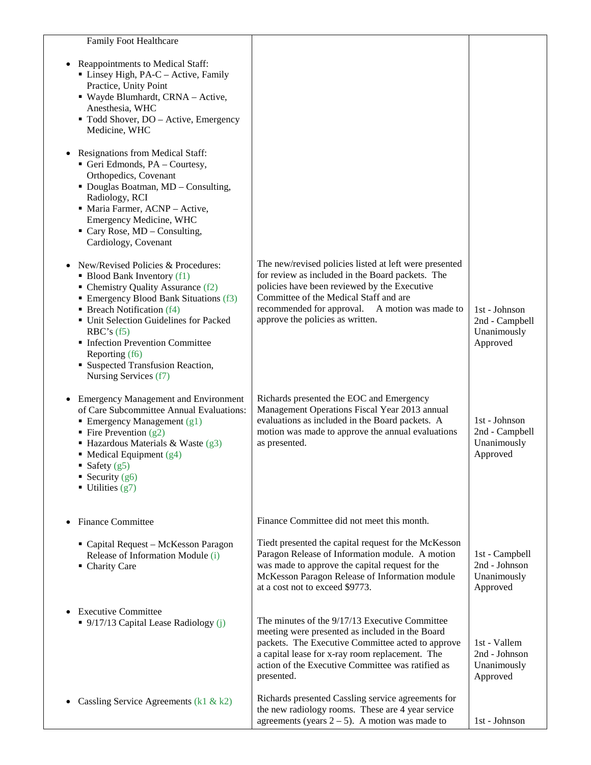| Family Foot Healthcare                                                                                                                                                                                                                                                                                                                                      |                                                                                                                                                                                                                                                                                            |                                                            |
|-------------------------------------------------------------------------------------------------------------------------------------------------------------------------------------------------------------------------------------------------------------------------------------------------------------------------------------------------------------|--------------------------------------------------------------------------------------------------------------------------------------------------------------------------------------------------------------------------------------------------------------------------------------------|------------------------------------------------------------|
| Reappointments to Medical Staff:<br>Linsey High, PA-C - Active, Family<br>Practice, Unity Point<br>■ Wayde Blumhardt, CRNA – Active,<br>Anesthesia, WHC<br>" Todd Shover, DO - Active, Emergency<br>Medicine, WHC                                                                                                                                           |                                                                                                                                                                                                                                                                                            |                                                            |
| Resignations from Medical Staff:<br>Geri Edmonds, PA - Courtesy,<br>Orthopedics, Covenant<br>• Douglas Boatman, MD - Consulting,<br>Radiology, RCI<br>• Maria Farmer, ACNP - Active,<br>Emergency Medicine, WHC<br>$\blacksquare$ Cary Rose, MD – Consulting,<br>Cardiology, Covenant                                                                       |                                                                                                                                                                                                                                                                                            |                                                            |
| New/Revised Policies & Procedures:<br>• Blood Bank Inventory (f1)<br>• Chemistry Quality Assurance (f2)<br>• Emergency Blood Bank Situations (f3)<br>• Breach Notification (f4)<br>• Unit Selection Guidelines for Packed<br>RBC's (f5)<br>• Infection Prevention Committee<br>Reporting (f6)<br>• Suspected Transfusion Reaction,<br>Nursing Services (f7) | The new/revised policies listed at left were presented<br>for review as included in the Board packets. The<br>policies have been reviewed by the Executive<br>Committee of the Medical Staff and are<br>recommended for approval. A motion was made to<br>approve the policies as written. | 1st - Johnson<br>2nd - Campbell<br>Unanimously<br>Approved |
| <b>Emergency Management and Environment</b><br>$\bullet$<br>of Care Subcommittee Annual Evaluations:<br>$\blacksquare$ Emergency Management (g1)<br>• Fire Prevention $(g2)$<br>■ Hazardous Materials & Waste $(g3)$<br>• Medical Equipment $(g4)$<br>■ Safety $(g5)$<br>• Security $(g6)$<br>$\blacksquare$ Utilities (g7)                                 | Richards presented the EOC and Emergency<br>Management Operations Fiscal Year 2013 annual<br>evaluations as included in the Board packets. A<br>motion was made to approve the annual evaluations<br>as presented.                                                                         | 1st - Johnson<br>2nd - Campbell<br>Unanimously<br>Approved |
| <b>Finance Committee</b>                                                                                                                                                                                                                                                                                                                                    | Finance Committee did not meet this month.                                                                                                                                                                                                                                                 |                                                            |
| • Capital Request - McKesson Paragon<br>Release of Information Module (i)<br>• Charity Care                                                                                                                                                                                                                                                                 | Tiedt presented the capital request for the McKesson<br>Paragon Release of Information module. A motion<br>was made to approve the capital request for the<br>McKesson Paragon Release of Information module<br>at a cost not to exceed \$9773.                                            | 1st - Campbell<br>2nd - Johnson<br>Unanimously<br>Approved |
| <b>Executive Committee</b><br>■ 9/17/13 Capital Lease Radiology (j)                                                                                                                                                                                                                                                                                         | The minutes of the 9/17/13 Executive Committee<br>meeting were presented as included in the Board<br>packets. The Executive Committee acted to approve<br>a capital lease for x-ray room replacement. The<br>action of the Executive Committee was ratified as<br>presented.               | 1st - Vallem<br>2nd - Johnson<br>Unanimously<br>Approved   |
| Cassling Service Agreements ( $k1 & k2$ )                                                                                                                                                                                                                                                                                                                   | Richards presented Cassling service agreements for<br>the new radiology rooms. These are 4 year service<br>agreements (years $2 - 5$ ). A motion was made to                                                                                                                               | 1st - Johnson                                              |